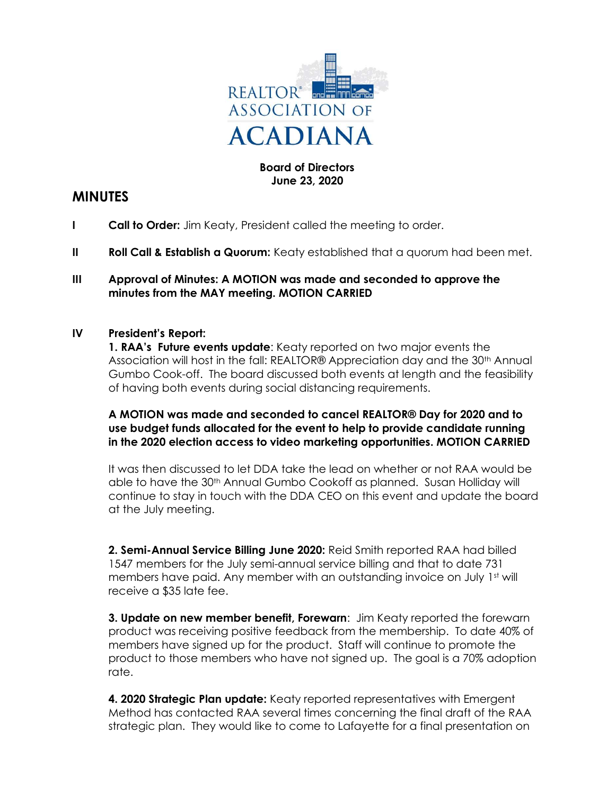

# Board of Directors June 23, 2020

# MINUTES

- I Call to Order: Jim Keaty, President called the meeting to order.
- II Roll Call & Establish a Quorum: Keaty established that a quorum had been met.

## III Approval of Minutes: A MOTION was made and seconded to approve the minutes from the MAY meeting. MOTION CARRIED

### IV President's Report:

1. RAA's Future events update: Keaty reported on two major events the Association will host in the fall: REALTOR® Appreciation day and the 30th Annual Gumbo Cook-off. The board discussed both events at length and the feasibility of having both events during social distancing requirements.

# A MOTION was made and seconded to cancel REALTOR® Day for 2020 and to use budget funds allocated for the event to help to provide candidate running in the 2020 election access to video marketing opportunities. MOTION CARRIED

 It was then discussed to let DDA take the lead on whether or not RAA would be able to have the 30th Annual Gumbo Cookoff as planned. Susan Holliday will continue to stay in touch with the DDA CEO on this event and update the board at the July meeting.

2. Semi-Annual Service Billing June 2020: Reid Smith reported RAA had billed 1547 members for the July semi-annual service billing and that to date 731 members have paid. Any member with an outstanding invoice on July 1st will receive a \$35 late fee.

3. Update on new member benefit, Forewarn: Jim Keaty reported the forewarn product was receiving positive feedback from the membership. To date 40% of members have signed up for the product. Staff will continue to promote the product to those members who have not signed up. The goal is a 70% adoption rate.

**4. 2020 Strategic Plan update:** Keaty reported representatives with Emergent Method has contacted RAA several times concerning the final draft of the RAA strategic plan. They would like to come to Lafayette for a final presentation on